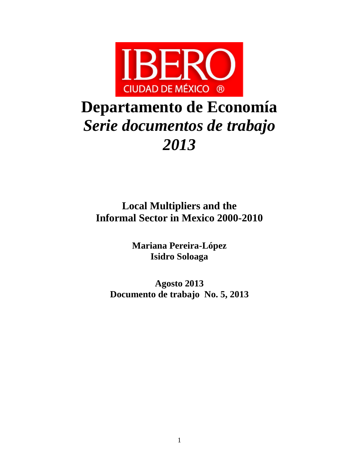

# **Departamento de Economía**  *Serie documentos de trabajo 2013*

**Local Multipliers and the Informal Sector in Mexico 2000-2010**

> **Mariana Pereira-López Isidro Soloaga**

**Agosto 2013 Documento de trabajo No. 5, 2013**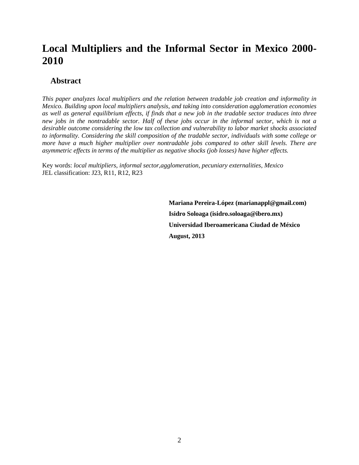## **Local Multipliers and the Informal Sector in Mexico 2000- 2010**

## **Abstract**

*This paper analyzes local multipliers and the relation between tradable job creation and informality in Mexico. Building upon local multipliers analysis, and taking into consideration agglomeration economies as well as general equilibrium effects, if finds that a new job in the tradable sector traduces into three new jobs in the nontradable sector. Half of these jobs occur in the informal sector, which is not a desirable outcome considering the low tax collection and vulnerability to labor market shocks associated to informality. Considering the skill composition of the tradable sector, individuals with some college or more have a much higher multiplier over nontradable jobs compared to other skill levels. There are asymmetric effects in terms of the multiplier as negative shocks (job losses) have higher effects.*

Key words: *local multipliers, informal sector,agglomeration, pecuniary externalities, Mexico* JEL classification: J23, R11, R12, R23

> **Mariana Pereira-López (marianappl@gmail.com) Isidro Soloaga (isidro.soloaga@ibero.mx) Universidad Iberoamericana Ciudad de México August, 2013**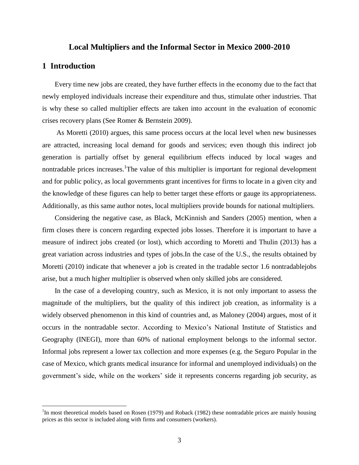## **Local Multipliers and the Informal Sector in Mexico 2000-2010**

## **1 Introduction**

 $\overline{a}$ 

Every time new jobs are created, they have further effects in the economy due to the fact that newly employed individuals increase their expenditure and thus, stimulate other industries. That is why these so called multiplier effects are taken into account in the evaluation of economic crises recovery plans (See Romer & Bernstein 2009).

As Moretti (2010) argues, this same process occurs at the local level when new businesses are attracted, increasing local demand for goods and services; even though this indirect job generation is partially offset by general equilibrium effects induced by local wages and nontradable prices increases.<sup>1</sup>The value of this multiplier is important for regional development and for public policy, as local governments grant incentives for firms to locate in a given city and the knowledge of these figures can help to better target these efforts or gauge its appropriateness. Additionally, as this same author notes, local multipliers provide bounds for national multipliers.

Considering the negative case, as Black, McKinnish and Sanders (2005) mention, when a firm closes there is concern regarding expected jobs losses. Therefore it is important to have a measure of indirect jobs created (or lost), which according to Moretti and Thulin (2013) has a great variation across industries and types of jobs.In the case of the U.S., the results obtained by Moretti (2010) indicate that whenever a job is created in the tradable sector 1.6 nontradablejobs arise, but a much higher multiplier is observed when only skilled jobs are considered.

In the case of a developing country, such as Mexico, it is not only important to assess the magnitude of the multipliers, but the quality of this indirect job creation, as informality is a widely observed phenomenon in this kind of countries and, as Maloney (2004) argues, most of it occurs in the nontradable sector. According to Mexico's National Institute of Statistics and Geography (INEGI), more than 60% of national employment belongs to the informal sector. Informal jobs represent a lower tax collection and more expenses (e.g. the Seguro Popular in the case of Mexico, which grants medical insurance for informal and unemployed individuals) on the government's side, while on the workers' side it represents concerns regarding job security, as

<sup>&</sup>lt;sup>1</sup>In most theoretical models based on Rosen (1979) and Roback (1982) these nontradable prices are mainly housing prices as this sector is included along with firms and consumers (workers).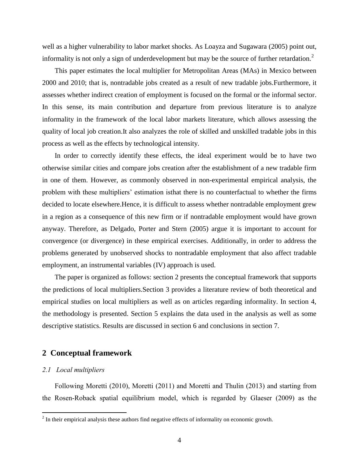well as a higher vulnerability to labor market shocks. As Loayza and Sugawara (2005) point out, informality is not only a sign of underdevelopment but may be the source of further retardation.<sup>2</sup>

This paper estimates the local multiplier for Metropolitan Areas (MAs) in Mexico between 2000 and 2010; that is, nontradable jobs created as a result of new tradable jobs.Furthermore, it assesses whether indirect creation of employment is focused on the formal or the informal sector. In this sense, its main contribution and departure from previous literature is to analyze informality in the framework of the local labor markets literature, which allows assessing the quality of local job creation.It also analyzes the role of skilled and unskilled tradable jobs in this process as well as the effects by technological intensity.

In order to correctly identify these effects, the ideal experiment would be to have two otherwise similar cities and compare jobs creation after the establishment of a new tradable firm in one of them. However, as commonly observed in non-experimental empirical analysis, the problem with these multipliers' estimation isthat there is no counterfactual to whether the firms decided to locate elsewhere.Hence, it is difficult to assess whether nontradable employment grew in a region as a consequence of this new firm or if nontradable employment would have grown anyway. Therefore, as Delgado, Porter and Stern (2005) argue it is important to account for convergence (or divergence) in these empirical exercises. Additionally, in order to address the problems generated by unobserved shocks to nontradable employment that also affect tradable employment, an instrumental variables (IV) approach is used.

The paper is organized as follows: section 2 presents the conceptual framework that supports the predictions of local multipliers.Section 3 provides a literature review of both theoretical and empirical studies on local multipliers as well as on articles regarding informality. In section 4, the methodology is presented. Section 5 explains the data used in the analysis as well as some descriptive statistics. Results are discussed in section 6 and conclusions in section 7.

## **2 Conceptual framework**

## *2.1 Local multipliers*

Following Moretti (2010), Moretti (2011) and Moretti and Thulin (2013) and starting from the Rosen-Roback spatial equilibrium model, which is regarded by Glaeser (2009) as the

<sup>&</sup>lt;sup>2</sup> In their empirical analysis these authors find negative effects of informality on economic growth.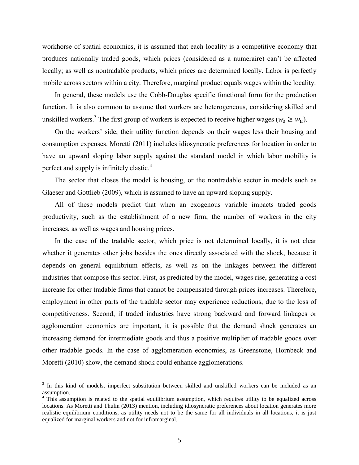workhorse of spatial economics, it is assumed that each locality is a competitive economy that produces nationally traded goods, which prices (considered as a numeraire) can"t be affected locally; as well as nontradable products, which prices are determined locally. Labor is perfectly mobile across sectors within a city. Therefore, marginal product equals wages within the locality.

In general, these models use the Cobb-Douglas specific functional form for the production function. It is also common to assume that workers are heterogeneous, considering skilled and unskilled workers.<sup>3</sup> The first group of workers is expected to receive higher wages ( $w_s \geq w_u$ ).

On the workers" side, their utility function depends on their wages less their housing and consumption expenses. Moretti (2011) includes idiosyncratic preferences for location in order to have an upward sloping labor supply against the standard model in which labor mobility is perfect and supply is infinitely elastic.<sup>4</sup>

The sector that closes the model is housing, or the nontradable sector in models such as Glaeser and Gottlieb (2009), which is assumed to have an upward sloping supply.

All of these models predict that when an exogenous variable impacts traded goods productivity, such as the establishment of a new firm, the number of workers in the city increases, as well as wages and housing prices.

In the case of the tradable sector, which price is not determined locally, it is not clear whether it generates other jobs besides the ones directly associated with the shock, because it depends on general equilibrium effects, as well as on the linkages between the different industries that compose this sector. First, as predicted by the model, wages rise, generating a cost increase for other tradable firms that cannot be compensated through prices increases. Therefore, employment in other parts of the tradable sector may experience reductions, due to the loss of competitiveness. Second, if traded industries have strong backward and forward linkages or agglomeration economies are important, it is possible that the demand shock generates an increasing demand for intermediate goods and thus a positive multiplier of tradable goods over other tradable goods. In the case of agglomeration economies, as Greenstone, Hornbeck and Moretti (2010) show, the demand shock could enhance agglomerations.

 $\overline{a}$ 

<sup>&</sup>lt;sup>3</sup> In this kind of models, imperfect substitution between skilled and unskilled workers can be included as an assumption.

<sup>&</sup>lt;sup>4</sup> This assumption is related to the spatial equilibrium assumption, which requires utility to be equalized across locations. As Moretti and Thulin (2013) mention, including idiosyncratic preferences about location generates more realistic equilibrium conditions, as utility needs not to be the same for all individuals in all locations, it is just equalized for marginal workers and not for inframarginal.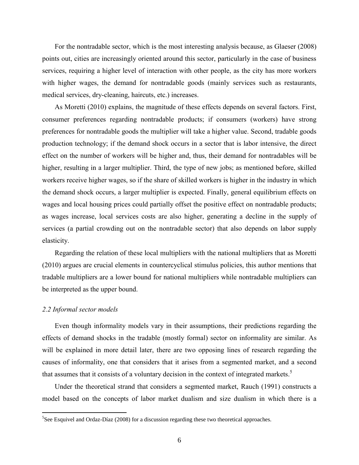For the nontradable sector, which is the most interesting analysis because, as Glaeser (2008) points out, cities are increasingly oriented around this sector, particularly in the case of business services, requiring a higher level of interaction with other people, as the city has more workers with higher wages, the demand for nontradable goods (mainly services such as restaurants, medical services, dry-cleaning, haircuts, etc.) increases.

As Moretti (2010) explains, the magnitude of these effects depends on several factors. First, consumer preferences regarding nontradable products; if consumers (workers) have strong preferences for nontradable goods the multiplier will take a higher value. Second, tradable goods production technology; if the demand shock occurs in a sector that is labor intensive, the direct effect on the number of workers will be higher and, thus, their demand for nontradables will be higher, resulting in a larger multiplier. Third, the type of new jobs; as mentioned before, skilled workers receive higher wages, so if the share of skilled workers is higher in the industry in which the demand shock occurs, a larger multiplier is expected. Finally, general equilibrium effects on wages and local housing prices could partially offset the positive effect on nontradable products; as wages increase, local services costs are also higher, generating a decline in the supply of services (a partial crowding out on the nontradable sector) that also depends on labor supply elasticity.

Regarding the relation of these local multipliers with the national multipliers that as Moretti (2010) argues are crucial elements in countercyclical stimulus policies, this author mentions that tradable multipliers are a lower bound for national multipliers while nontradable multipliers can be interpreted as the upper bound.

## *2.2 Informal sector models*

 $\overline{a}$ 

Even though informality models vary in their assumptions, their predictions regarding the effects of demand shocks in the tradable (mostly formal) sector on informality are similar. As will be explained in more detail later, there are two opposing lines of research regarding the causes of informality, one that considers that it arises from a segmented market, and a second that assumes that it consists of a voluntary decision in the context of integrated markets.<sup>5</sup>

Under the theoretical strand that considers a segmented market, Rauch (1991) constructs a model based on the concepts of labor market dualism and size dualism in which there is a

<sup>&</sup>lt;sup>5</sup>See Esquivel and Ordaz-Díaz (2008) for a discussion regarding these two theoretical approaches.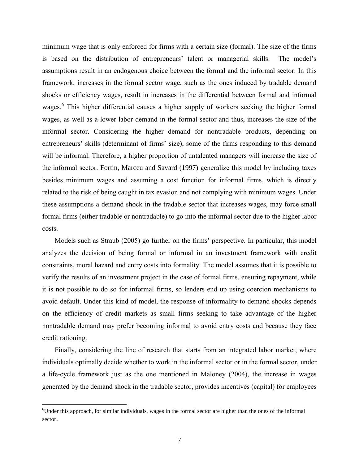minimum wage that is only enforced for firms with a certain size (formal). The size of the firms is based on the distribution of entrepreneurs' talent or managerial skills. The model's assumptions result in an endogenous choice between the formal and the informal sector. In this framework, increases in the formal sector wage, such as the ones induced by tradable demand shocks or efficiency wages, result in increases in the differential between formal and informal wages.<sup>6</sup> This higher differential causes a higher supply of workers seeking the higher formal wages, as well as a lower labor demand in the formal sector and thus, increases the size of the informal sector. Considering the higher demand for nontradable products, depending on entrepreneurs' skills (determinant of firms' size), some of the firms responding to this demand will be informal. Therefore, a higher proportion of untalented managers will increase the size of the informal sector. Fortin, Marceu and Savard (1997) generalize this model by including taxes besides minimum wages and assuming a cost function for informal firms, which is directly related to the risk of being caught in tax evasion and not complying with minimum wages. Under these assumptions a demand shock in the tradable sector that increases wages, may force small formal firms (either tradable or nontradable) to go into the informal sector due to the higher labor costs.

Models such as Straub (2005) go further on the firms' perspective. In particular, this model analyzes the decision of being formal or informal in an investment framework with credit constraints, moral hazard and entry costs into formality. The model assumes that it is possible to verify the results of an investment project in the case of formal firms, ensuring repayment, while it is not possible to do so for informal firms, so lenders end up using coercion mechanisms to avoid default. Under this kind of model, the response of informality to demand shocks depends on the efficiency of credit markets as small firms seeking to take advantage of the higher nontradable demand may prefer becoming informal to avoid entry costs and because they face credit rationing.

Finally, considering the line of research that starts from an integrated labor market, where individuals optimally decide whether to work in the informal sector or in the formal sector, under a life-cycle framework just as the one mentioned in Maloney (2004), the increase in wages generated by the demand shock in the tradable sector, provides incentives (capital) for employees

 $\overline{a}$ 

 $60$ Under this approach, for similar individuals, wages in the formal sector are higher than the ones of the informal sector.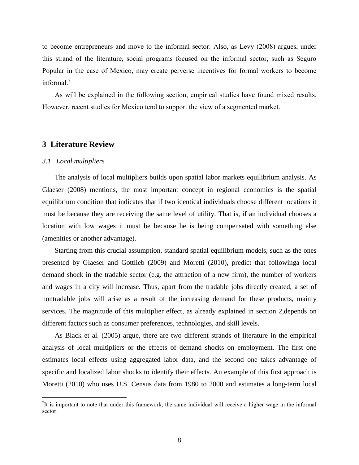to become entrepreneurs and move to the informal sector. Also, as Levy (2008) argues, under this strand of the literature, social programs focused on the informal sector, such as Seguro Popular in the case of Mexico, may create perverse incentives for formal workers to become informal. 7

As will be explained in the following section, empirical studies have found mixed results. However, recent studies for Mexico tend to support the view of a segmented market.

## **3 Literature Review**

## *3.1 Local multipliers*

 $\overline{a}$ 

The analysis of local multipliers builds upon spatial labor markets equilibrium analysis. As Glaeser (2008) mentions, the most important concept in regional economics is the spatial equilibrium condition that indicates that if two identical individuals choose different locations it must be because they are receiving the same level of utility. That is, if an individual chooses a location with low wages it must be because he is being compensated with something else (amenities or another advantage).

Starting from this crucial assumption, standard spatial equilibrium models, such as the ones presented by Glaeser and Gottlieb (2009) and Moretti (2010), predict that followinga local demand shock in the tradable sector (e.g. the attraction of a new firm), the number of workers and wages in a city will increase. Thus, apart from the tradable jobs directly created, a set of nontradable jobs will arise as a result of the increasing demand for these products, mainly services. The magnitude of this multiplier effect, as already explained in section 2,depends on different factors such as consumer preferences, technologies, and skill levels.

As Black et al. (2005) argue, there are two different strands of literature in the empirical analysis of local multipliers or the effects of demand shocks on employment. The first one estimates local effects using aggregated labor data, and the second one takes advantage of specific and localized labor shocks to identify their effects. An example of this first approach is Moretti (2010) who uses U.S. Census data from 1980 to 2000 and estimates a long-term local

 $7$ It is important to note that under this framework, the same individual will receive a higher wage in the informal sector.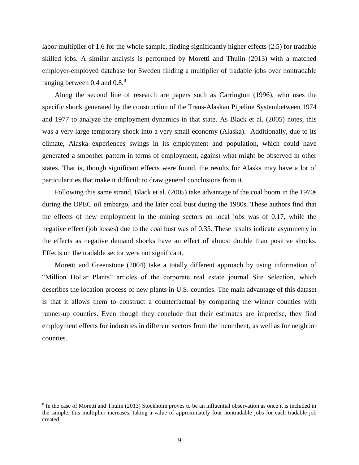labor multiplier of 1.6 for the whole sample, finding significantly higher effects (2.5) for tradable skilled jobs. A similar analysis is performed by Moretti and Thulin (2013) with a matched employer-employed database for Sweden finding a multiplier of tradable jobs over nontradable ranging between  $0.4$  and  $0.8<sup>8</sup>$ 

Along the second line of research are papers such as Carrington (1996), who uses the specific shock generated by the construction of the Trans-Alaskan Pipeline Systembetween 1974 and 1977 to analyze the employment dynamics in that state. As Black et al. (2005) notes, this was a very large temporary shock into a very small economy (Alaska). Additionally, due to its climate, Alaska experiences swings in its employment and population, which could have generated a smoother pattern in terms of employment, against what might be observed in other states. That is, though significant effects were found, the results for Alaska may have a lot of particularities that make it difficult to draw general conclusions from it.

Following this same strand, Black et al. (2005) take advantage of the coal boom in the 1970s during the OPEC oil embargo, and the later coal bust during the 1980s. These authors find that the effects of new employment in the mining sectors on local jobs was of 0.17, while the negative effect (job losses) due to the coal bust was of 0.35. These results indicate asymmetry in the effects as negative demand shocks have an effect of almost double than positive shocks. Effects on the tradable sector were not significant.

Moretti and Greenstone (2004) take a totally different approach by using information of "Million Dollar Plants" articles of the corporate real estate journal Site Selection, which describes the location process of new plants in U.S. counties. The main advantage of this dataset is that it allows them to construct a counterfactual by comparing the winner counties with runner-up counties. Even though they conclude that their estimates are imprecise, they find employment effects for industries in different sectors from the incumbent, as well as for neighbor counties.

 $\overline{a}$ 

 $8 \text{ In the case of Moretti and Thulin (2013) Stockholm proves to be an influential observation as once it is included in }$ the sample, this multiplier increases, taking a value of approximately four nontradable jobs for each tradable job created.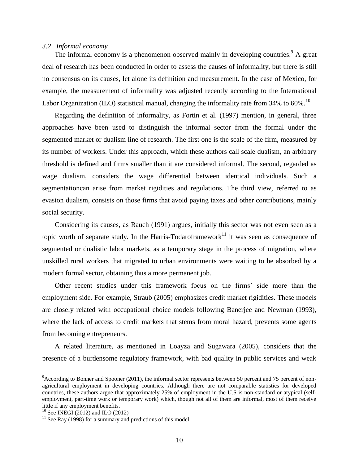#### *3.2 Informal economy*

The informal economy is a phenomenon observed mainly in developing countries.<sup>9</sup> A great deal of research has been conducted in order to assess the causes of informality, but there is still no consensus on its causes, let alone its definition and measurement. In the case of Mexico, for example, the measurement of informality was adjusted recently according to the International Labor Organization (ILO) statistical manual, changing the informality rate from  $34\%$  to  $60\%$ .<sup>10</sup>

Regarding the definition of informality, as Fortin et al. (1997) mention, in general, three approaches have been used to distinguish the informal sector from the formal under the segmented market or dualism line of research. The first one is the scale of the firm, measured by its number of workers. Under this approach, which these authors call scale dualism, an arbitrary threshold is defined and firms smaller than it are considered informal. The second, regarded as wage dualism, considers the wage differential between identical individuals. Such a segmentationcan arise from market rigidities and regulations. The third view, referred to as evasion dualism, consists on those firms that avoid paying taxes and other contributions, mainly social security.

Considering its causes, as Rauch (1991) argues, initially this sector was not even seen as a topic worth of separate study. In the Harris-Todaroframework $11$  it was seen as consequence of segmented or dualistic labor markets, as a temporary stage in the process of migration, where unskilled rural workers that migrated to urban environments were waiting to be absorbed by a modern formal sector, obtaining thus a more permanent job.

Other recent studies under this framework focus on the firms' side more than the employment side. For example, Straub (2005) emphasizes credit market rigidities. These models are closely related with occupational choice models following Banerjee and Newman (1993), where the lack of access to credit markets that stems from moral hazard, prevents some agents from becoming entrepreneurs.

A related literature, as mentioned in Loayza and Sugawara (2005), considers that the presence of a burdensome regulatory framework, with bad quality in public services and weak

 $\overline{a}$ 

 $9$ According to Bonner and Spooner (2011), the informal sector represents between 50 percent and 75 percent of nonagricultural employment in developing countries. Although there are not comparable statistics for developed countries, these authors argue that approximately 25% of employment in the U.S is non-standard or atypical (selfemployment, part-time work or temporary work) which, though not all of them are informal, most of them receive little if any employment benefits.

<sup>&</sup>lt;sup>10</sup> See INEGI (2012) and ILO (2012)

 $11$  See Ray (1998) for a summary and predictions of this model.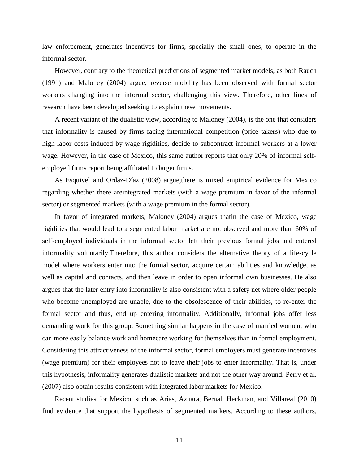law enforcement, generates incentives for firms, specially the small ones, to operate in the informal sector.

However, contrary to the theoretical predictions of segmented market models, as both Rauch (1991) and Maloney (2004) argue, reverse mobility has been observed with formal sector workers changing into the informal sector, challenging this view. Therefore, other lines of research have been developed seeking to explain these movements.

A recent variant of the dualistic view, according to Maloney (2004), is the one that considers that informality is caused by firms facing international competition (price takers) who due to high labor costs induced by wage rigidities, decide to subcontract informal workers at a lower wage. However, in the case of Mexico, this same author reports that only 20% of informal selfemployed firms report being affiliated to larger firms.

As Esquivel and Ordaz-Díaz (2008) argue,there is mixed empirical evidence for Mexico regarding whether there areintegrated markets (with a wage premium in favor of the informal sector) or segmented markets (with a wage premium in the formal sector).

In favor of integrated markets, Maloney (2004) argues thatin the case of Mexico, wage rigidities that would lead to a segmented labor market are not observed and more than 60% of self-employed individuals in the informal sector left their previous formal jobs and entered informality voluntarily.Therefore, this author considers the alternative theory of a life-cycle model where workers enter into the formal sector, acquire certain abilities and knowledge, as well as capital and contacts, and then leave in order to open informal own businesses. He also argues that the later entry into informality is also consistent with a safety net where older people who become unemployed are unable, due to the obsolescence of their abilities, to re-enter the formal sector and thus, end up entering informality. Additionally, informal jobs offer less demanding work for this group. Something similar happens in the case of married women, who can more easily balance work and homecare working for themselves than in formal employment. Considering this attractiveness of the informal sector, formal employers must generate incentives (wage premium) for their employees not to leave their jobs to enter informality. That is, under this hypothesis, informality generates dualistic markets and not the other way around. Perry et al. (2007) also obtain results consistent with integrated labor markets for Mexico.

Recent studies for Mexico, such as Arias, Azuara, Bernal, Heckman, and Villareal (2010) find evidence that support the hypothesis of segmented markets. According to these authors,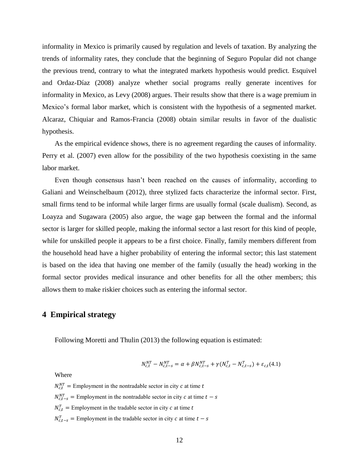informality in Mexico is primarily caused by regulation and levels of taxation. By analyzing the trends of informality rates, they conclude that the beginning of Seguro Popular did not change the previous trend, contrary to what the integrated markets hypothesis would predict. Esquivel and Ordaz-Díaz (2008) analyze whether social programs really generate incentives for informality in Mexico, as Levy (2008) argues. Their results show that there is a wage premium in Mexico's formal labor market, which is consistent with the hypothesis of a segmented market. Alcaraz, Chiquiar and Ramos-Francia (2008) obtain similar results in favor of the dualistic hypothesis.

As the empirical evidence shows, there is no agreement regarding the causes of informality. Perry et al. (2007) even allow for the possibility of the two hypothesis coexisting in the same labor market.

Even though consensus hasn't been reached on the causes of informality, according to Galiani and Weinschelbaum (2012), three stylized facts characterize the informal sector. First, small firms tend to be informal while larger firms are usually formal (scale dualism). Second, as Loayza and Sugawara (2005) also argue, the wage gap between the formal and the informal sector is larger for skilled people, making the informal sector a last resort for this kind of people, while for unskilled people it appears to be a first choice. Finally, family members different from the household head have a higher probability of entering the informal sector; this last statement is based on the idea that having one member of the family (usually the head) working in the formal sector provides medical insurance and other benefits for all the other members; this allows them to make riskier choices such as entering the informal sector.

## **4 Empirical strategy**

Following Moretti and Thulin (2013) the following equation is estimated:

$$
N_{c,t}^{NT} - N_{c,t-s}^{NT} = \alpha + \beta N_{c,t-s}^{NT} + \gamma (N_{c,t}^{T} - N_{c,t-s}^{T}) + \varepsilon_{c,t}(4.1)
$$

#### Where

 $N_{c,t}^{NT}$  = Employment in the nontradable sector in city c at time  $N_{c.t-s}^{NT}$  = Employment in the nontradable sector in city c at time  $N_{c,t}^T$  = Employment in the tradable sector in city c at time  $N_{c,t-s}^T$  = Employment in the tradable sector in city c at time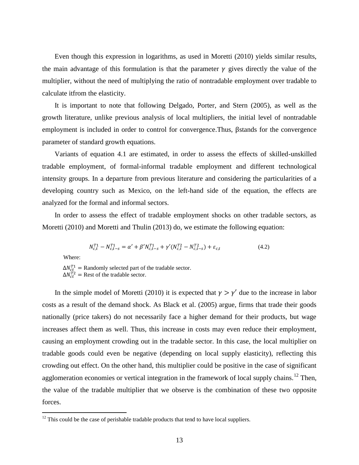Even though this expression in logarithms, as used in Moretti (2010) yields similar results, the main advantage of this formulation is that the parameter  $\gamma$  gives directly the value of the multiplier, without the need of multiplying the ratio of nontradable employment over tradable to calculate itfrom the elasticity.

It is important to note that following Delgado, Porter, and Stern (2005), as well as the growth literature, unlike previous analysis of local multipliers, the initial level of nontradable employment is included in order to control for convergence. Thus,  $\beta$ stands for the convergence parameter of standard growth equations.

Variants of equation 4.1 are estimated, in order to assess the effects of skilled-unskilled tradable employment, of formal-informal tradable employment and different technological intensity groups. In a departure from previous literature and considering the particularities of a developing country such as Mexico, on the left-hand side of the equation, the effects are analyzed for the formal and informal sectors.

In order to assess the effect of tradable employment shocks on other tradable sectors, as Moretti (2010) and Moretti and Thulin (2013) do, we estimate the following equation:

$$
N_{c,t}^{T1} - N_{c,t-s}^{T1} = \alpha' + \beta' N_{c,t-s}^{T1} + \gamma' (N_{c,t}^{T2} - N_{c,t-s}^{T2}) + \varepsilon_{c,t}
$$
\n(4.2)

Where:

 $\overline{a}$ 

 $\Delta N_{ct}^{T1}$  = Randomly selected part of the tradable sector.  $\Delta N_{ct}^{T2}$  = Rest of the tradable sector.

In the simple model of Moretti (2010) it is expected that  $\gamma > \gamma'$  due to the increase in labor costs as a result of the demand shock. As Black et al. (2005) argue, firms that trade their goods nationally (price takers) do not necessarily face a higher demand for their products, but wage increases affect them as well. Thus, this increase in costs may even reduce their employment, causing an employment crowding out in the tradable sector. In this case, the local multiplier on tradable goods could even be negative (depending on local supply elasticity), reflecting this crowding out effect. On the other hand, this multiplier could be positive in the case of significant agglomeration economies or vertical integration in the framework of local supply chains.<sup>12</sup> Then, the value of the tradable multiplier that we observe is the combination of these two opposite forces.

 $12$  This could be the case of perishable tradable products that tend to have local suppliers.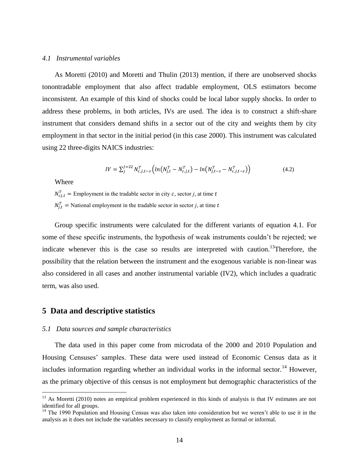#### *4.1 Instrumental variables*

As Moretti (2010) and Moretti and Thulin (2013) mention, if there are unobserved shocks tonontradable employment that also affect tradable employment, OLS estimators become inconsistent. An example of this kind of shocks could be local labor supply shocks. In order to address these problems, in both articles, IVs are used. The idea is to construct a shift-share instrument that considers demand shifts in a sector out of the city and weights them by city employment in that sector in the initial period (in this case 2000). This instrument was calculated using 22 three-digits NAICS industries:

$$
IV = \sum_{j}^{J=22} N_{c,j,t-s}^{T} \left( ln(N_{j,t}^{T} - N_{c,j,t}^{T}) - ln(N_{j,t-s}^{T} - N_{c,j,t-s}^{T}) \right)
$$
(4.2)

Where

 $\overline{a}$ 

 $N_{c,i}^T$  = Employment in the tradable sector in city c, sector *j*, at time  $N_{i,t}^T$  = National employment in the tradable sector in sector *j*, at time

Group specific instruments were calculated for the different variants of equation 4.1. For some of these specific instruments, the hypothesis of weak instruments couldn't be rejected; we indicate whenever this is the case so results are interpreted with caution.<sup>13</sup>Therefore, the possibility that the relation between the instrument and the exogenous variable is non-linear was also considered in all cases and another instrumental variable (IV2), which includes a quadratic term, was also used.

## **5 Data and descriptive statistics**

#### *5.1 Data sources and sample characteristics*

The data used in this paper come from microdata of the 2000 and 2010 Population and Housing Censuses' samples. These data were used instead of Economic Census data as it includes information regarding whether an individual works in the informal sector.<sup>14</sup> However, as the primary objective of this census is not employment but demographic characteristics of the

 $13$  As Moretti (2010) notes an empirical problem experienced in this kinds of analysis is that IV estimates are not identified for all groups.

<sup>&</sup>lt;sup>14</sup> The 1990 Population and Housing Census was also taken into consideration but we weren't able to use it in the analysis as it does not include the variables necessary to classify employment as formal or informal.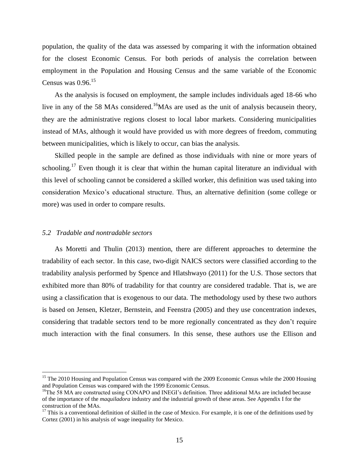population, the quality of the data was assessed by comparing it with the information obtained for the closest Economic Census. For both periods of analysis the correlation between employment in the Population and Housing Census and the same variable of the Economic Census was  $0.96$ <sup>15</sup>

As the analysis is focused on employment, the sample includes individuals aged 18-66 who live in any of the 58 MAs considered.<sup>16</sup>MAs are used as the unit of analysis becausein theory, they are the administrative regions closest to local labor markets. Considering municipalities instead of MAs, although it would have provided us with more degrees of freedom, commuting between municipalities, which is likely to occur, can bias the analysis.

Skilled people in the sample are defined as those individuals with nine or more years of schooling.<sup>17</sup> Even though it is clear that within the human capital literature an individual with this level of schooling cannot be considered a skilled worker, this definition was used taking into consideration Mexico's educational structure. Thus, an alternative definition (some college or more) was used in order to compare results.

## *5.2 Tradable and nontradable sectors*

 $\overline{a}$ 

As Moretti and Thulin (2013) mention, there are different approaches to determine the tradability of each sector. In this case, two-digit NAICS sectors were classified according to the tradability analysis performed by Spence and Hlatshwayo (2011) for the U.S. Those sectors that exhibited more than 80% of tradability for that country are considered tradable. That is, we are using a classification that is exogenous to our data. The methodology used by these two authors is based on Jensen, Kletzer, Bernstein, and Feenstra (2005) and they use concentration indexes, considering that tradable sectors tend to be more regionally concentrated as they don't require much interaction with the final consumers. In this sense, these authors use the Ellison and

<sup>&</sup>lt;sup>15</sup> The 2010 Housing and Population Census was compared with the 2009 Economic Census while the 2000 Housing and Population Census was compared with the 1999 Economic Census.

<sup>&</sup>lt;sup>16</sup>The 58 MA are constructed using CONAPO and INEGI's definition. Three additional MAs are included because of the importance of the *maquiladora* industry and the industrial growth of these areas. See Appendix I for the construction of the MAs.

 $17$  This is a conventional definition of skilled in the case of Mexico. For example, it is one of the definitions used by Cortez (2001) in his analysis of wage inequality for Mexico.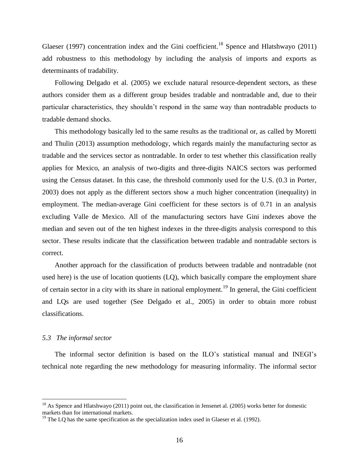Glaeser (1997) concentration index and the Gini coefficient.<sup>18</sup> Spence and Hlatshwayo (2011) add robustness to this methodology by including the analysis of imports and exports as determinants of tradability.

Following Delgado et al. (2005) we exclude natural resource-dependent sectors, as these authors consider them as a different group besides tradable and nontradable and, due to their particular characteristics, they shouldn't respond in the same way than nontradable products to tradable demand shocks.

This methodology basically led to the same results as the traditional or, as called by Moretti and Thulin (2013) assumption methodology, which regards mainly the manufacturing sector as tradable and the services sector as nontradable. In order to test whether this classification really applies for Mexico, an analysis of two-digits and three-digits NAICS sectors was performed using the Census dataset. In this case, the threshold commonly used for the U.S. (0.3 in Porter, 2003) does not apply as the different sectors show a much higher concentration (inequality) in employment. The median-average Gini coefficient for these sectors is of 0.71 in an analysis excluding Valle de Mexico. All of the manufacturing sectors have Gini indexes above the median and seven out of the ten highest indexes in the three-digits analysis correspond to this sector. These results indicate that the classification between tradable and nontradable sectors is correct.

Another approach for the classification of products between tradable and nontradable (not used here) is the use of location quotients (LQ), which basically compare the employment share of certain sector in a city with its share in national employment.<sup>19</sup> In general, the Gini coefficient and LQs are used together (See Delgado et al., 2005) in order to obtain more robust classifications.

#### *5.3 The informal sector*

 $\overline{a}$ 

The informal sector definition is based on the ILO's statistical manual and INEGI's technical note regarding the new methodology for measuring informality. The informal sector

<sup>&</sup>lt;sup>18</sup> As Spence and Hlatshwayo (2011) point out, the classification in Jensenet al. (2005) works better for domestic markets than for international markets.

 $19$  The LQ has the same specification as the specialization index used in Glaeser et al. (1992).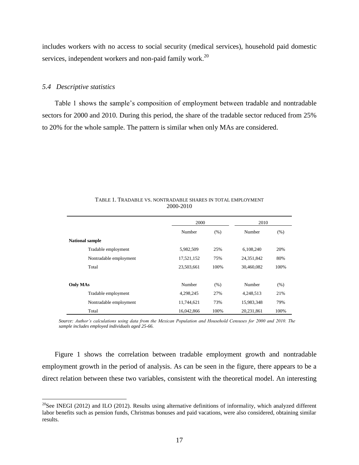includes workers with no access to social security (medical services), household paid domestic services, independent workers and non-paid family work.<sup>20</sup>

#### *5.4 Descriptive statistics*

 $\overline{a}$ 

Table 1 shows the sample's composition of employment between tradable and nontradable sectors for 2000 and 2010. During this period, the share of the tradable sector reduced from 25% to 20% for the whole sample. The pattern is similar when only MAs are considered.

|                        | 2000           |      | 2010       |      |  |
|------------------------|----------------|------|------------|------|--|
|                        | Number<br>(% ) |      | Number     | (% ) |  |
| <b>National sample</b> |                |      |            |      |  |
| Tradable employment    | 5,982,509      | 25%  | 6,108,240  | 20%  |  |
| Nontradable employment | 17,521,152     | 75%  | 24,351,842 | 80%  |  |
| Total                  | 23,503,661     | 100% | 30,460,082 | 100% |  |
|                        |                |      |            |      |  |
| <b>Only MAs</b>        | Number         | (% ) | Number     | (% ) |  |
| Tradable employment    | 4,298,245      | 27%  | 4,248,513  | 21%  |  |
| Nontradable employment | 11,744,621     | 73%  | 15.983.348 | 79%  |  |
| Total                  | 16,042,866     | 100% | 20,231,861 | 100% |  |

TABLE 1. TRADABLE VS. NONTRADABLE SHARES IN TOTAL EMPLOYMENT 2000-2010

*Source: Author's calculations using data from the Mexican Population and Household Censuses for 2000 and 2010. The sample includes employed individuals aged 25-66.*

Figure 1 shows the correlation between tradable employment growth and nontradable employment growth in the period of analysis. As can be seen in the figure, there appears to be a direct relation between these two variables, consistent with the theoretical model. An interesting

 $^{20}$ See INEGI (2012) and ILO (2012). Results using alternative definitions of informality, which analyzed different labor benefits such as pension funds, Christmas bonuses and paid vacations, were also considered, obtaining similar results.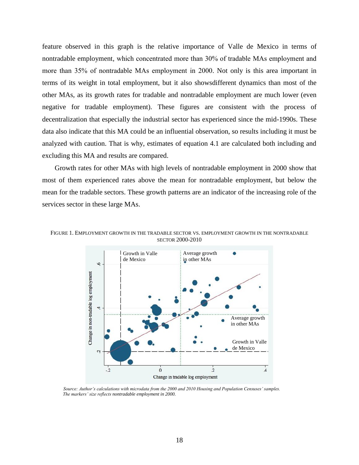feature observed in this graph is the relative importance of Valle de Mexico in terms of nontradable employment, which concentrated more than 30% of tradable MAs employment and more than 35% of nontradable MAs employment in 2000. Not only is this area important in terms of its weight in total employment, but it also showsdifferent dynamics than most of the other MAs, as its growth rates for tradable and nontradable employment are much lower (even negative for tradable employment). These figures are consistent with the process of decentralization that especially the industrial sector has experienced since the mid-1990s. These data also indicate that this MA could be an influential observation, so results including it must be analyzed with caution. That is why, estimates of equation 4.1 are calculated both including and excluding this MA and results are compared.

Growth rates for other MAs with high levels of nontradable employment in 2000 show that most of them experienced rates above the mean for nontradable employment, but below the mean for the tradable sectors. These growth patterns are an indicator of the increasing role of the services sector in these large MAs.



FIGURE 1. EMPLOYMENT GROWTH IN THE TRADABLE SECTOR VS. EMPLOYMENT GROWTH IN THE NONTRADABLE SECTOR 2000-2010

*Source: Author's calculations with microdata from the 2000 and 2010 Housing and Population Censuses' samples. The markers' size reflects nontradable employment in 2000.*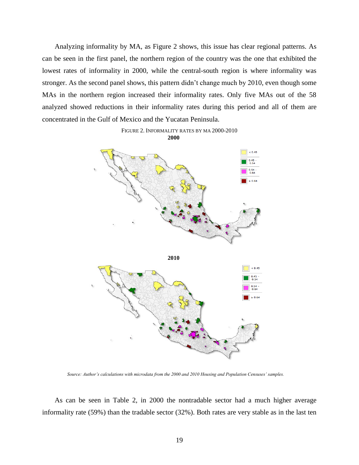Analyzing informality by MA, as Figure 2 shows, this issue has clear regional patterns. As can be seen in the first panel, the northern region of the country was the one that exhibited the lowest rates of informality in 2000, while the central-south region is where informality was stronger. As the second panel shows, this pattern didn't change much by 2010, even though some MAs in the northern region increased their informality rates. Only five MAs out of the 58 analyzed showed reductions in their informality rates during this period and all of them are concentrated in the Gulf of Mexico and the Yucatan Peninsula.





*Source: Author's calculations with microdata from the 2000 and 2010 Housing and Population Censuses' samples.*

As can be seen in Table 2, in 2000 the nontradable sector had a much higher average informality rate (59%) than the tradable sector (32%). Both rates are very stable as in the last ten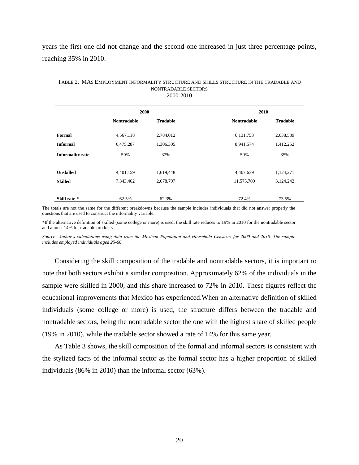years the first one did not change and the second one increased in just three percentage points, reaching 35% in 2010.

|                         | 2000               |                 | 2010               |                 |  |
|-------------------------|--------------------|-----------------|--------------------|-----------------|--|
|                         | <b>Nontradable</b> | <b>Tradable</b> | <b>Nontradable</b> | <b>Tradable</b> |  |
|                         |                    |                 |                    |                 |  |
| Formal                  | 4,567,118          | 2,784,012       | 6,131,753          | 2,638,589       |  |
| <b>Informal</b>         | 6,475,287          | 1,306,305       | 8,941,574          | 1,412,252       |  |
| <b>Informality rate</b> | 59%                | 32%             | 59%                | 35%             |  |
|                         |                    |                 |                    |                 |  |
| <b>Unskilled</b>        | 4,401,159          | 1,619,448       | 4,407,639          | 1,124,271       |  |
| <b>Skilled</b>          | 7,343,462          | 2,678,797       | 11,575,709         | 3,124,242       |  |
|                         |                    |                 |                    |                 |  |
| Skill rate *            | 62.5%              | 62.3%           | 72.4%              | 73.5%           |  |

#### TABLE 2. MAS EMPLOYMENT INFORMALITY STRUCTURE AND SKILLS STRUCTURE IN THE TRADABLE AND NONTRADABLE SECTORS 2000-2010

The totals are not the same for the different breakdowns because the sample includes individuals that did not answer properly the questions that are used to construct the informality variable.

\*If the alternative definition of skilled (some college or more) is used, the skill rate reduces to 19% in 2010 for the nontradable sector and almost 14% for tradable products.

*Source: Author's calculations using data from the Mexican Population and Household Censuses for 2000 and 2010. The sample includes employed individuals aged 25-66.*

Considering the skill composition of the tradable and nontradable sectors, it is important to note that both sectors exhibit a similar composition. Approximately 62% of the individuals in the sample were skilled in 2000, and this share increased to 72% in 2010. These figures reflect the educational improvements that Mexico has experienced.When an alternative definition of skilled individuals (some college or more) is used, the structure differs between the tradable and nontradable sectors, being the nontradable sector the one with the highest share of skilled people (19% in 2010), while the tradable sector showed a rate of 14% for this same year.

As Table 3 shows, the skill composition of the formal and informal sectors is consistent with the stylized facts of the informal sector as the formal sector has a higher proportion of skilled individuals (86% in 2010) than the informal sector (63%).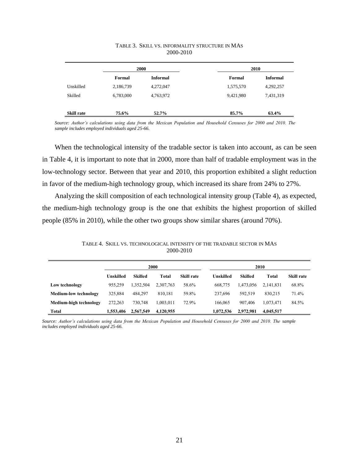|                   |           | 2000            |           | 2010            |
|-------------------|-----------|-----------------|-----------|-----------------|
|                   | Formal    | <b>Informal</b> | Formal    | <b>Informal</b> |
| Unskilled         | 2,186,739 | 4,272,047       | 1,575,570 | 4,292,257       |
| Skilled           | 6,783,000 | 4,763,972       | 9,421,980 | 7,431,319       |
|                   |           |                 |           |                 |
| <b>Skill rate</b> | 75.6%     | 52.7%           | 85.7%     | 63.4%           |

## TABLE 3. SKILL VS. INFORMALITY STRUCTURE IN MAS 2000-2010

*Source: Author's calculations using data from the Mexican Population and Household Censuses for 2000 and 2010. The sample includes employed individuals aged 25-66.*

When the technological intensity of the tradable sector is taken into account, as can be seen in Table 4, it is important to note that in 2000, more than half of tradable employment was in the low-technology sector. Between that year and 2010, this proportion exhibited a slight reduction in favor of the medium-high technology group, which increased its share from 24% to 27%.

Analyzing the skill composition of each technological intensity group (Table 4), as expected, the medium-high technology group is the one that exhibits the highest proportion of skilled people (85% in 2010), while the other two groups show similar shares (around 70%).

TABLE 4. SKILL VS. TECHNOLOGICAL INTENSITY OF THE TRADABLE SECTOR IN MAS 2000-2010

|                              |           |           | 2000      |            |           | 2010      |           |            |  |  |
|------------------------------|-----------|-----------|-----------|------------|-----------|-----------|-----------|------------|--|--|
|                              | Unskilled | Skilled   | Total     | Skill rate | Unskilled | Skilled   | Total     | Skill rate |  |  |
| Low technology               | 955.259   | .352.504  | 2.307.763 | 58.6%      | 668,775   | 1.473.056 | 2.141.831 | 68.8%      |  |  |
| <b>Medium-low technology</b> | 325.884   | 484.297   | 810.181   | 59.8%      | 237.696   | 592.519   | 830.215   | 71.4%      |  |  |
| Medium-high technology       | 272.263   | 730.748   | .003.011  | 72.9%      | 166,065   | 907.406   | 1.073.471 | 84.5%      |  |  |
| <b>Total</b>                 | 1.553.406 | 2.567.549 | 4,120,955 |            | 1.072.536 | 2,972,981 | 4,045,517 |            |  |  |

*Source: Author's calculations using data from the Mexican Population and Household Censuses for 2000 and 2010. The sample includes employed individuals aged 25-66.*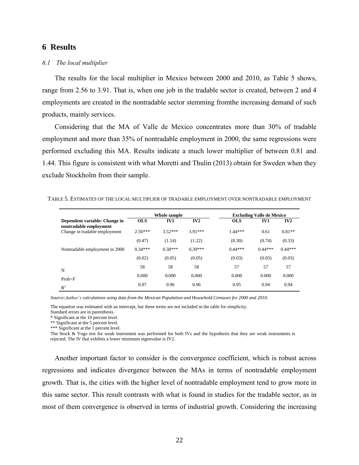## **6 Results**

#### *6.1 The local multiplier*

The results for the local multiplier in Mexico between 2000 and 2010, as Table 5 shows, range from 2.56 to 3.91. That is, when one job in the tradable sector is created, between 2 and 4 employments are created in the nontradable sector stemming fromthe increasing demand of such products, mainly services.

Considering that the MA of Valle de Mexico concentrates more than 30% of tradable employment and more than 35% of nontradable employment in 2000, the same regressions were performed excluding this MA. Results indicate a much lower multiplier of between 0.81 and 1.44. This figure is consistent with what Moretti and Thulin (2013) obtain for Sweden when they exclude Stockholm from their sample.

| TABLE 5. ESTIMATES OF THE LOCAL MULTIPLIER OF TRADABLE EMPLOYMENT OVER NONTRADABLE EMPLOYMENT |  |  |
|-----------------------------------------------------------------------------------------------|--|--|
|-----------------------------------------------------------------------------------------------|--|--|

|                                                         |            | Whole sample |           |            | <b>Excluding Valle de Mexico</b> |           |
|---------------------------------------------------------|------------|--------------|-----------|------------|----------------------------------|-----------|
| Dependent variable: Change in<br>nontradable employment | <b>OLS</b> | IV1          | IV2       | <b>OLS</b> | IV1                              | IV2       |
| Change in tradable employment                           | $2.56***$  | $3.52***$    | $3.91***$ | $1.44***$  | 0.61                             | $0.81**$  |
|                                                         | (0.47)     | (1.14)       | (1.22)    | (0.30)     | (0.74)                           | (0.33)    |
| Nontradable employment in 2000                          | $0.34***$  | $0.38***$    | $0.39***$ | $0.44***$  | $0.44***$                        | $0.44***$ |
|                                                         | (0.02)     | (0.05)       | (0.05)    | (0.03)     | (0.03)                           | (0.03)    |
| N                                                       | 58         | 58           | 58        | 57         | 57                               | 57        |
| Prob>F                                                  | 0.000      | 0.000        | 0.000     | 0.000      | 0.000                            | 0.000     |
| $R^2$                                                   | 0.97       | 0.96         | 0.96      | 0.95       | 0.94                             | 0.94      |

*Source:Author's calculations using data from the Mexican Population and Household Censuses for 2000 and 2010.*

The equation was estimated with an intercept, but these terms are not included in the table for simplicity.

Standard errors are in parenthesis.

\* Significant at the 10 percent level.

\*\* Significant at the 5 percent level.

\*\*\* Significant at the 1 percent level.

The Stock & Yogo test for weak instrument was performed for both IVs and the hypothesis that they are weak instruments is rejected. The IV that exhibits a lower minimum eigenvalue is IV2.

Another important factor to consider is the convergence coefficient, which is robust across regressions and indicates divergence between the MAs in terms of nontradable employment growth. That is, the cities with the higher level of nontradable employment tend to grow more in this same sector. This result contrasts with what is found in studies for the tradable sector, as in most of them convergence is observed in terms of industrial growth. Considering the increasing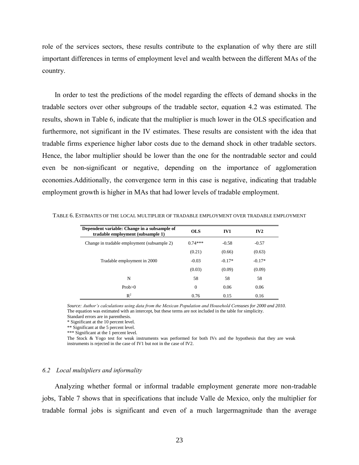role of the services sectors, these results contribute to the explanation of why there are still important differences in terms of employment level and wealth between the different MAs of the country.

In order to test the predictions of the model regarding the effects of demand shocks in the tradable sectors over other subgroups of the tradable sector, equation 4.2 was estimated. The results, shown in Table 6, indicate that the multiplier is much lower in the OLS specification and furthermore, not significant in the IV estimates. These results are consistent with the idea that tradable firms experience higher labor costs due to the demand shock in other tradable sectors. Hence, the labor multiplier should be lower than the one for the nontradable sector and could even be non-significant or negative, depending on the importance of agglomeration economies.Additionally, the convergence term in this case is negative, indicating that tradable employment growth is higher in MAs that had lower levels of tradable employment.

| Dependent variable: Change in a subsample of<br>tradable employment (subsample 1) | <b>OLS</b>     | IV1      | IV2      |
|-----------------------------------------------------------------------------------|----------------|----------|----------|
| Change in tradable employment (subsample 2)                                       | $0.74***$      | $-0.58$  | $-0.57$  |
|                                                                                   | (0.21)         | (0.66)   | (0.63)   |
| Tradable employment in 2000                                                       | $-0.03$        | $-0.17*$ | $-0.17*$ |
|                                                                                   | (0.03)         | (0.09)   | (0.09)   |
| N                                                                                 | 58             | 58       | 58       |
| Prob > 0                                                                          | $\overline{0}$ | 0.06     | 0.06     |
| $R^2$                                                                             | 0.76           | 0.15     | 0.16     |

TABLE 6. ESTIMATES OF THE LOCAL MULTIPLIER OF TRADABLE EMPLOYMENT OVER TRADABLE EMPLOYMENT

*Source: Author's calculations using data from the Mexican Population and Household Censuses for 2000 and 2010.* The equation was estimated with an intercept, but these terms are not included in the table for simplicity.

Standard errors are in parenthesis.

\* Significant at the 10 percent level.

\*\* Significant at the 5 percent level.

\*\*\* Significant at the 1 percent level.

The Stock & Yogo test for weak instruments was performed for both IVs and the hypothesis that they are weak instruments is rejected in the case of IV1 but not in the case of IV2.

#### *6.2 Local multipliers and informality*

Analyzing whether formal or informal tradable employment generate more non-tradable jobs, Table 7 shows that in specifications that include Valle de Mexico, only the multiplier for tradable formal jobs is significant and even of a much largermagnitude than the average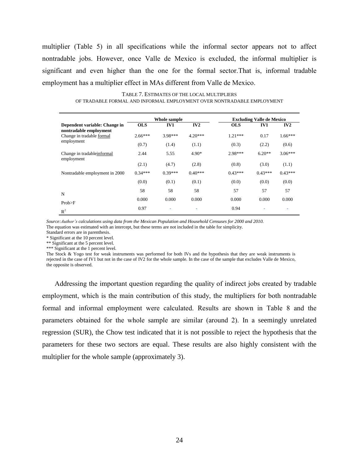multiplier (Table 5) in all specifications while the informal sector appears not to affect nontradable jobs. However, once Valle de Mexico is excluded, the informal multiplier is significant and even higher than the one for the formal sector.That is, informal tradable employment has a multiplier effect in MAs different from Valle de Mexico.

TABLE 7. ESTIMATES OF THE LOCAL MULTIPLIERS OF TRADABLE FORMAL AND INFORMAL EMPLOYMENT OVER NONTRADABLE EMPLOYMENT

|                                                         |            | Whole sample |           | <b>Excluding Valle de Mexico</b> |           |           |  |  |
|---------------------------------------------------------|------------|--------------|-----------|----------------------------------|-----------|-----------|--|--|
| Dependent variable: Change in<br>nontradable employment | <b>OLS</b> | IV1          | IV2       | <b>OLS</b>                       | IV1       | IV2       |  |  |
| Change in tradable formal<br>employment                 | $2.66***$  | $3.98***$    | $4.20***$ | $1.21***$                        | 0.17      | $1.66***$ |  |  |
|                                                         | (0.7)      | (1.4)        | (1.1)     | (0.3)                            | (2.2)     | (0.6)     |  |  |
| Change in tradable informal<br>employment               | 2.44       | 5.55         | $4.90*$   | 2.98***                          | $6.20**$  | $3.06***$ |  |  |
|                                                         | (2.1)      | (4.7)        | (2.8)     | (0.8)                            | (3.0)     | (1.1)     |  |  |
| Nontradable employment in 2000                          | $0.34***$  | $0.39***$    | $0.40***$ | $0.43***$                        | $0.43***$ | $0.43***$ |  |  |
|                                                         | (0.0)      | (0.1)        | (0.1)     | (0.0)                            | (0.0)     | (0.0)     |  |  |
| N                                                       | 58         | 58           | 58        | 57                               | 57        | 57        |  |  |
| Prob>F                                                  | 0.000      | 0.000        | 0.000     | 0.000                            | 0.000     | 0.000     |  |  |
| $R^2$                                                   | 0.97       | ٠            |           | 0.94                             |           |           |  |  |

*Source:Author's calculations using data from the Mexican Population and Household Censuses for 2000 and 2010.* The equation was estimated with an intercept, but these terms are not included in the table for simplicity.

Standard errors are in parenthesis.

\* Significant at the 10 percent level.

\*\* Significant at the 5 percent level.

\*\*\* Significant at the 1 percent level.

The Stock & Yogo test for weak instruments was performed for both IVs and the hypothesis that they are weak instruments is rejected in the case of IV1 but not in the case of IV2 for the whole sample. In the case of the sample that excludes Valle de Mexico, the opposite is observed.

Addressing the important question regarding the quality of indirect jobs created by tradable employment, which is the main contribution of this study, the multipliers for both nontradable formal and informal employment were calculated. Results are shown in Table 8 and the parameters obtained for the whole sample are similar (around 2). In a seemingly unrelated regression (SUR), the Chow test indicated that it is not possible to reject the hypothesis that the parameters for these two sectors are equal. These results are also highly consistent with the multiplier for the whole sample (approximately 3).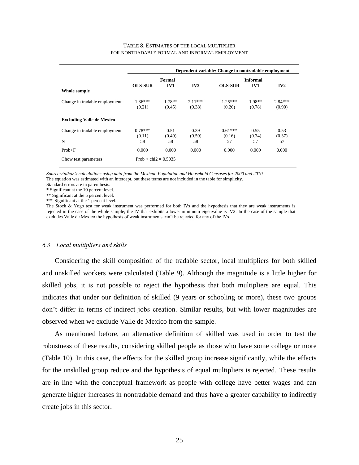#### TABLE 8. ESTIMATES OF THE LOCAL MULTIPLIER FOR NONTRADABLE FORMAL AND INFORMAL EMPLOYMENT

|                                  | Dependent variable: Change in nontradable employment |                 |           |                |                 |           |  |  |  |
|----------------------------------|------------------------------------------------------|-----------------|-----------|----------------|-----------------|-----------|--|--|--|
|                                  |                                                      | Formal          |           |                | <b>Informal</b> |           |  |  |  |
|                                  | <b>OLS-SUR</b>                                       | IV <sub>1</sub> | IV2       | <b>OLS-SUR</b> | IV1             | IV2       |  |  |  |
| Whole sample                     |                                                      |                 |           |                |                 |           |  |  |  |
| Change in tradable employment    | $1.36***$                                            | $1.78**$        | $2.11***$ | $1.25***$      | 1.98**          | $2.84***$ |  |  |  |
|                                  | (0.21)                                               | (0.45)          | (0.38)    | (0.26)         | (0.78)          | (0.90)    |  |  |  |
| <b>Excluding Valle de Mexico</b> |                                                      |                 |           |                |                 |           |  |  |  |
| Change in tradable employment    | $0.78***$                                            | 0.51            | 0.39      | $0.61***$      | 0.55            | 0.53      |  |  |  |
|                                  | (0.11)                                               | (0.49)          | (0.59)    | (0.16)         | (0.34)          | (0.37)    |  |  |  |
| N                                | 58                                                   | 58              | 58        | 57             | 57              | 57        |  |  |  |
| Prob>F                           | 0.000                                                | 0.000           | 0.000     | 0.000          | 0.000           | 0.000     |  |  |  |
| Chow test parameters             | Prob $>$ chi2 = 0.5035                               |                 |           |                |                 |           |  |  |  |
|                                  |                                                      |                 |           |                |                 |           |  |  |  |

*Source:Author's calculations using data from the Mexican Population and Household Censuses for 2000 and 2010.* The equation was estimated with an intercept, but these terms are not included in the table for simplicity.

Standard errors are in parenthesis.

\* Significant at the 10 percent level.

\*\* Significant at the 5 percent level.

\*\*\* Significant at the 1 percent level.

The Stock & Yogo test for weak instrument was performed for both IVs and the hypothesis that they are weak instruments is rejected in the case of the whole sample; the IV that exhibits a lower minimum eigenvalue is IV2. In the case of the sample that excludes Valle de Mexico the hypothesis of weak instruments can't be rejected for any of the IVs.

#### *6.3 Local multipliers and skills*

Considering the skill composition of the tradable sector, local multipliers for both skilled and unskilled workers were calculated (Table 9). Although the magnitude is a little higher for skilled jobs, it is not possible to reject the hypothesis that both multipliers are equal. This indicates that under our definition of skilled (9 years or schooling or more), these two groups don't differ in terms of indirect jobs creation. Similar results, but with lower magnitudes are observed when we exclude Valle de Mexico from the sample.

As mentioned before, an alternative definition of skilled was used in order to test the robustness of these results, considering skilled people as those who have some college or more (Table 10). In this case, the effects for the skilled group increase significantly, while the effects for the unskilled group reduce and the hypothesis of equal multipliers is rejected. These results are in line with the conceptual framework as people with college have better wages and can generate higher increases in nontradable demand and thus have a greater capability to indirectly create jobs in this sector.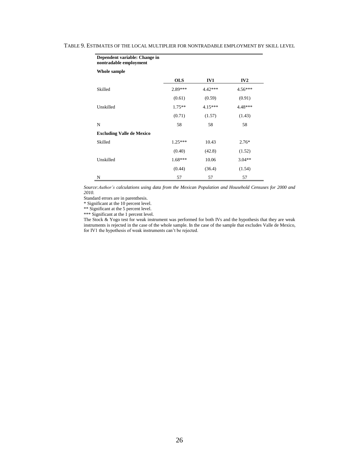| Dependent variable: Change in<br>nontradable employment |            |           |           |
|---------------------------------------------------------|------------|-----------|-----------|
| Whole sample                                            |            |           |           |
|                                                         | <b>OLS</b> | IV1       | IV2       |
| Skilled                                                 | 2.89***    | 4.42***   | $4.56***$ |
|                                                         | (0.61)     | (0.59)    | (0.91)    |
| Unskilled                                               | $1.75***$  | $4.15***$ | 4.48***   |
|                                                         | (0.71)     | (1.57)    | (1.43)    |
| N                                                       | 58         | 58        | 58        |
| <b>Excluding Valle de Mexico</b>                        |            |           |           |
| Skilled                                                 | $1.25***$  | 10.43     | $2.76*$   |
|                                                         | (0.40)     | (42.8)    | (1.52)    |
| Unskilled                                               | $1.68***$  | 10.06     | $3.04**$  |
|                                                         | (0.44)     | (36.4)    | (1.54)    |
| N                                                       | 57         | 57        | 57        |

#### TABLE 9. ESTIMATES OF THE LOCAL MULTIPLIER FOR NONTRADABLE EMPLOYMENT BY SKILL LEVEL

*Source:Author's calculations using data from the Mexican Population and Household Censuses for 2000 and 2010.*

Standard errors are in parenthesis.

\* Significant at the 10 percent level.

\*\* Significant at the 5 percent level.

\*\*\* Significant at the 1 percent level.

The Stock & Yogo test for weak instrument was performed for both IVs and the hypothesis that they are weak instruments is rejected in the case of the whole sample. In the case of the sample that excludes Valle de Mexico, for IV1 the hypothesis of weak instruments can't be rejected.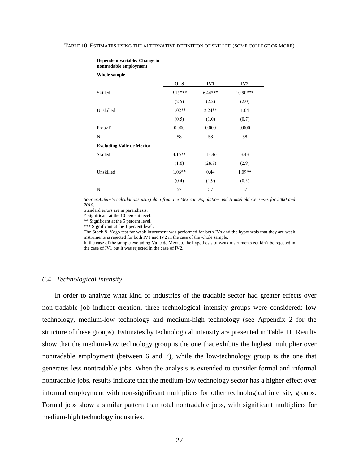| Dependent variable: Change in<br>nontradable employment |            |           |          |
|---------------------------------------------------------|------------|-----------|----------|
| Whole sample                                            |            |           |          |
|                                                         | <b>OLS</b> | IV1       | IV2      |
| Skilled                                                 | $9.15***$  | $6.44***$ | 10.90*** |
|                                                         | (2.5)      | (2.2)     | (2.0)    |
| Unskilled                                               | $1.02**$   | $2.24**$  | 1.04     |
|                                                         | (0.5)      | (1.0)     | (0.7)    |
| Prob>F                                                  | 0.000      | 0.000     | 0.000    |
| N                                                       | 58         | 58        | 58       |
| <b>Excluding Valle de Mexico</b>                        |            |           |          |
| Skilled                                                 | $4.15**$   | $-13.46$  | 3.43     |
|                                                         | (1.6)      | (28.7)    | (2.9)    |
| Unskilled                                               | $1.06**$   | 0.44      | 1.09**   |
|                                                         | (0.4)      | (1.9)     | (0.5)    |
| N                                                       | 57         | 57        | 57       |

#### TABLE 10. ESTIMATES USING THE ALTERNATIVE DEFINITION OF SKILLED (SOME COLLEGE OR MORE)

*Source:Author's calculations using data from the Mexican Population and Household Censuses for 2000 and 2010.*

Standard errors are in parenthesis.

\* Significant at the 10 percent level.

\*\* Significant at the 5 percent level.

\*\*\* Significant at the 1 percent level.

The Stock & Yogo test for weak instrument was performed for both IVs and the hypothesis that they are weak instruments is rejected for both IV1 and IV2 in the case of the whole sample.

In the case of the sample excluding Valle de Mexico, the hypothesis of weak instruments couldn't be rejected in the case of IV1 but it was rejected in the case of IV2.

#### *6.4 Technological intensity*

In order to analyze what kind of industries of the tradable sector had greater effects over non-tradable job indirect creation, three technological intensity groups were considered: low technology, medium-low technology and medium-high technology (see Appendix 2 for the structure of these groups). Estimates by technological intensity are presented in Table 11. Results show that the medium-low technology group is the one that exhibits the highest multiplier over nontradable employment (between 6 and 7), while the low-technology group is the one that generates less nontradable jobs. When the analysis is extended to consider formal and informal nontradable jobs, results indicate that the medium-low technology sector has a higher effect over informal employment with non-significant multipliers for other technological intensity groups. Formal jobs show a similar pattern than total nontradable jobs, with significant multipliers for medium-high technology industries.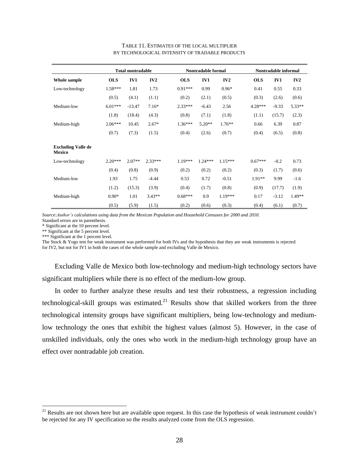|                                            |            | <b>Total nontradable</b> |           |            | Nontradable formal |           |            | Nontradable informal |          |
|--------------------------------------------|------------|--------------------------|-----------|------------|--------------------|-----------|------------|----------------------|----------|
| Whole sample                               | <b>OLS</b> | IV1                      | IV2       | <b>OLS</b> | IV1                | IV2       | <b>OLS</b> | IV1                  | IV2      |
| Low-technology                             | $1.58***$  | 1.81                     | 1.73      | $0.91***$  | 0.99               | $0.96*$   | 0.41       | 0.55                 | 0.33     |
|                                            | (0.5)      | (4.1)                    | (1.1)     | (0.2)      | (2.1)              | (0.5)     | (0.3)      | (2.6)                | (0.6)    |
| Medium-low                                 | $6.01***$  | $-13.47$                 | $7.16*$   | $2.33***$  | $-6.43$            | 2.56      | $4.28***$  | $-9.33$              | $5.33**$ |
|                                            | (1.8)      | (18.4)                   | (4.3)     | (0.8)      | (7.1)              | (1.8)     | (1.1)      | (15.7)               | (2.3)    |
| Medium-high                                | $2.06***$  | 10.45                    | $2.67*$   | $1.36***$  | $5.20**$           | $1.76***$ | 0.66       | 6.39                 | 0.87     |
|                                            | (0.7)      | (7.3)                    | (1.5)     | (0.4)      | (2.6)              | (0.7)     | (0.4)      | (6.5)                | (0.8)    |
| <b>Excluding Valle de</b><br><b>Mexico</b> |            |                          |           |            |                    |           |            |                      |          |
| Low-technology                             | $2.20***$  | $2.07**$                 | $2.33***$ | $1.19***$  | $1.24***$          | $1.15***$ | $0.67***$  | $-0.2$               | 0.73     |
|                                            | (0.4)      | (0.8)                    | (0.9)     | (0.2)      | (0.2)              | (0.2)     | (0.3)      | (1.7)                | (0.6)    |
| Medium-low                                 | 1.93       | 1.75                     | $-4.44$   | 0.53       | 0.72               | $-0.51$   | $1.91**$   | 9.99                 | $-1.6$   |
|                                            | (1.2)      | (15.3)                   | (3.9)     | (0.4)      | (1.7)              | (0.8)     | (0.9)      | (17.7)               | (1.9)    |
| Medium-high                                | $0.90*$    | 1.01                     | $3.43**$  | $0.68***$  | 0.9                | $1.19***$ | 0.17       | $-3.12$              | 1.49**   |
|                                            | (0.5)      | (5.9)                    | (1.5)     | (0.2)      | (0.6)              | (0.3)     | (0.4)      | (6.1)                | (0.7)    |

#### TABLE 11. ESTIMATES OF THE LOCAL MULTIPLIER BY TECHNOLOGICAL INTENSITY OF TRADABLE PRODUCTS

*Source:Author's calculations using data from the Mexican Population and Household Censuses for 2000 and 2010.* Standard errors are in parenthesis.

\* Significant at the 10 percent level.

\*\* Significant at the 5 percent level.

\*\*\* Significant at the 1 percent level.

 $\overline{a}$ 

The Stock & Yogo test for weak instrument was performed for both IVs and the hypothesis that they are weak instruments is rejected for IV2, but not for IV1 in both the cases of the whole sample and excluding Valle de Mexico.

Excluding Valle de Mexico both low-technology and medium-high technology sectors have significant multipliers while there is no effect of the medium-low group.

In order to further analyze these results and test their robustness, a regression including technological-skill groups was estimated.<sup>21</sup> Results show that skilled workers from the three technological intensity groups have significant multipliers, being low-technology and mediumlow technology the ones that exhibit the highest values (almost 5). However, in the case of unskilled individuals, only the ones who work in the medium-high technology group have an effect over nontradable job creation.

<sup>&</sup>lt;sup>21</sup> Results are not shown here but are available upon request. In this case the hypothesis of weak instrument couldn't be rejected for any IV specification so the results analyzed come from the OLS regression.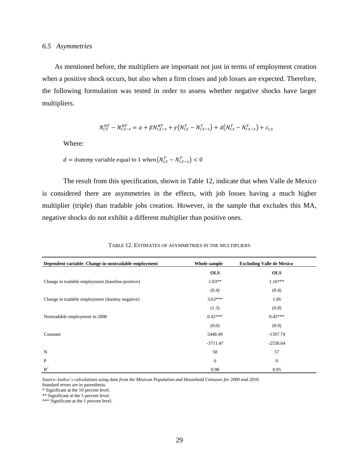As mentioned before, the multipliers are important not just in terms of employment creation when a positive shock occurs, but also when a firm closes and job losses are expected. Therefore, the following formulation was tested in order to assess whether negative shocks have larger multipliers.

$$
N_{c,t}^{NT} - N_{c,t-s}^{NT} = \alpha + \beta N_{c,t-s}^{NT} + \gamma (N_{c,t}^T - N_{c,t-s}^T) + d(N_{c,t}^T - N_{c,t-s}^T) + \varepsilon_{c,t}
$$

Where:

 $d =$  dummy variable equal to 1 when $(N_{c,t}^T - N_{c,t-s}^T)$  <

The result from this specification, shown in Table 12, indicate that when Valle de Mexico is considered there are asymmetries in the effects, with job losses having a much higher multiplier (triple) than tradable jobs creation. However, in the sample that excludes this MA, negative shocks do not exhibit a different multiplier than positive ones.

| Dependent variable: Change in nontradable employment | Whole sample     | <b>Excluding Valle de Mexico</b> |  |
|------------------------------------------------------|------------------|----------------------------------|--|
|                                                      | <b>OLS</b>       | <b>OLS</b>                       |  |
| Change in tradable employment (baseline-positive)    | $1.03**$         | $1.16***$                        |  |
|                                                      | (0.4)            | (0.4)                            |  |
| Change in tradable employment (dummy negative)       | $3.63***$        | 1.06                             |  |
|                                                      | (1.3)            | (0.8)                            |  |
| Nontradable employment in 2000                       | $0.42***$        | $0.45***$                        |  |
|                                                      | (0.0)            | (0.0)                            |  |
| Constant                                             | 5448.49          | $-1397.74$                       |  |
|                                                      | $-3711.47$       | $-2530.64$                       |  |
| N                                                    | 58               | 57                               |  |
| P                                                    | $\boldsymbol{0}$ | $\mathbf{0}$                     |  |
| $\mathbb{R}^2$                                       | 0.98             | 0.95                             |  |

#### TABLE 12. ESTIMATES OF ASYMMETRIES IN THE MULTIPLIERS

*Source:Author's calculations using data from the Mexican Population and Household Censuses for 2000 and 2010.* Standard errors are in parenthesis.

\* Significant at the 10 percent level.

\*\* Significant at the 5 percent level.

\*\*\* Significant at the 1 percent level.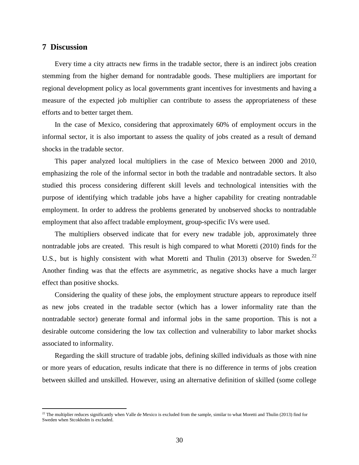## **7 Discussion**

 $\overline{a}$ 

Every time a city attracts new firms in the tradable sector, there is an indirect jobs creation stemming from the higher demand for nontradable goods. These multipliers are important for regional development policy as local governments grant incentives for investments and having a measure of the expected job multiplier can contribute to assess the appropriateness of these efforts and to better target them.

In the case of Mexico, considering that approximately 60% of employment occurs in the informal sector, it is also important to assess the quality of jobs created as a result of demand shocks in the tradable sector.

This paper analyzed local multipliers in the case of Mexico between 2000 and 2010, emphasizing the role of the informal sector in both the tradable and nontradable sectors. It also studied this process considering different skill levels and technological intensities with the purpose of identifying which tradable jobs have a higher capability for creating nontradable employment. In order to address the problems generated by unobserved shocks to nontradable employment that also affect tradable employment, group-specific IVs were used.

The multipliers observed indicate that for every new tradable job, approximately three nontradable jobs are created. This result is high compared to what Moretti (2010) finds for the U.S., but is highly consistent with what Moretti and Thulin (2013) observe for Sweden.<sup>22</sup> Another finding was that the effects are asymmetric, as negative shocks have a much larger effect than positive shocks.

Considering the quality of these jobs, the employment structure appears to reproduce itself as new jobs created in the tradable sector (which has a lower informality rate than the nontradable sector) generate formal and informal jobs in the same proportion. This is not a desirable outcome considering the low tax collection and vulnerability to labor market shocks associated to informality.

Regarding the skill structure of tradable jobs, defining skilled individuals as those with nine or more years of education, results indicate that there is no difference in terms of jobs creation between skilled and unskilled. However, using an alternative definition of skilled (some college

 $^{22}$  The multiplier reduces significantly when Valle de Mexico is excluded from the sample, similar to what Moretti and Thulin (2013) find for Sweden when Stcokholm is excluded.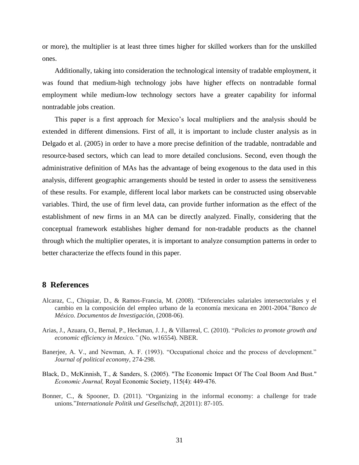or more), the multiplier is at least three times higher for skilled workers than for the unskilled ones.

Additionally, taking into consideration the technological intensity of tradable employment, it was found that medium-high technology jobs have higher effects on nontradable formal employment while medium-low technology sectors have a greater capability for informal nontradable jobs creation.

This paper is a first approach for Mexico's local multipliers and the analysis should be extended in different dimensions. First of all, it is important to include cluster analysis as in Delgado et al. (2005) in order to have a more precise definition of the tradable, nontradable and resource-based sectors, which can lead to more detailed conclusions. Second, even though the administrative definition of MAs has the advantage of being exogenous to the data used in this analysis, different geographic arrangements should be tested in order to assess the sensitiveness of these results. For example, different local labor markets can be constructed using observable variables. Third, the use of firm level data, can provide further information as the effect of the establishment of new firms in an MA can be directly analyzed. Finally, considering that the conceptual framework establishes higher demand for non-tradable products as the channel through which the multiplier operates, it is important to analyze consumption patterns in order to better characterize the effects found in this paper.

## **8 References**

- Alcaraz, C., Chiquiar, D., & Ramos-Francia, M. (2008). "Diferenciales salariales intersectoriales y el cambio en la composición del empleo urbano de la economía mexicana en 2001-2004."*Banco de México. Documentos de Investigación*, (2008-06).
- Arias, J., Azuara, O., Bernal, P., Heckman, J. J., & Villarreal, C. (2010). "*Policies to promote growth and economic efficiency in Mexico."* (No. w16554). NBER.
- Banerjee, A. V., and Newman, A. F. (1993). "Occupational choice and the process of development." *Journal of political economy*, 274-298.
- Black, D., McKinnish, T., & Sanders, S. (2005). "The Economic Impact Of The Coal Boom And Bust." *Economic Journal,* Royal Economic Society, 115(4): 449-476.
- Bonner, C., & Spooner, D. (2011). "Organizing in the informal economy: a challenge for trade unions."*Internationale Politik und Gesellschaft*, *2*(2011): 87-105.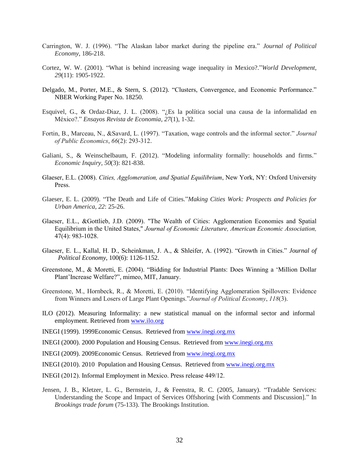- Carrington, W. J. (1996). "The Alaskan labor market during the pipeline era." *Journal of Political Economy*, 186-218.
- Cortez, W. W. (2001). "What is behind increasing wage inequality in Mexico?."*World Development*, *29*(11): 1905-1922.
- Delgado, M., Porter, M.E., & Stern, S. (2012). "Clusters, Convergence, and Economic Performance." NBER Working Paper No. 18250.
- Esquivel, G., & Ordaz-Diaz, J. L. (2008). "¿Es la política social una causa de la informalidad en México?." *Ensayos Revista de Economia*, *27*(1), 1-32.
- Fortin, B., Marceau, N., &Savard, L. (1997). "Taxation, wage controls and the informal sector." *Journal of Public Economics*, *66*(2): 293-312.
- Galiani, S., & Weinschelbaum, F. (2012). "Modeling informality formally: households and firms." *Economic Inquiry*, *50*(3): 821-838.
- Glaeser, E.L. (2008). *Cities, Agglomeration, and Spatial Equilibrium*, New York, NY: Oxford University Press.
- Glaeser, E. L. (2009). "The Death and Life of Cities."*Making Cities Work: Prospects and Policies for Urban America*, *22*: 25-26.
- Glaeser, E.L., &Gottlieb, J.D. (2009). "The Wealth of Cities: Agglomeration Economies and Spatial Equilibrium in the United States," *Journal of Economic Literature, American Economic Association,*  47(4): 983-1028.
- Glaeser, E. L., Kallal, H. D., Scheinkman, J. A., & Shleifer, A. (1992). "Growth in Cities." *Journal of Political Economy*, 100(6): 1126-1152.
- Greenstone, M., & Moretti, E. (2004). "Bidding for Industrial Plants: Does Winning a "Million Dollar Plant"Increase Welfare?", mimeo, MIT, January.
- Greenstone, M., Hornbeck, R., & Moretti, E. (2010). "Identifying Agglomeration Spillovers: Evidence from Winners and Losers of Large Plant Openings."*Journal of Political Economy*, *118*(3).
- ILO (2012). Measuring Informality: a new statistical manual on the informal sector and informal employment. Retrieved from [www.ilo.org](http://www.ilo.org/)
- INEGI (1999). 1999Economic Census. Retrieved from [www.inegi.org.mx](http://www.inegi.org.mx/)
- INEGI (2000). 2000 Population and Housing Census. Retrieved from [www.inegi.org.mx](http://www.inegi.org.mx/)
- INEGI (2009). 2009Economic Census. Retrieved from [www.inegi.org.mx](http://www.inegi.org.mx/)
- INEGI (2010). 2010 Population and Housing Census. Retrieved from [www.inegi.org.mx](http://www.inegi.org.mx/)
- INEGI (2012). Informal Employment in Mexico. Press release 449/12.
- Jensen, J. B., Kletzer, L. G., Bernstein, J., & Feenstra, R. C. (2005, January). "Tradable Services: Understanding the Scope and Impact of Services Offshoring [with Comments and Discussion]." In *Brookings trade forum* (75-133). The Brookings Institution.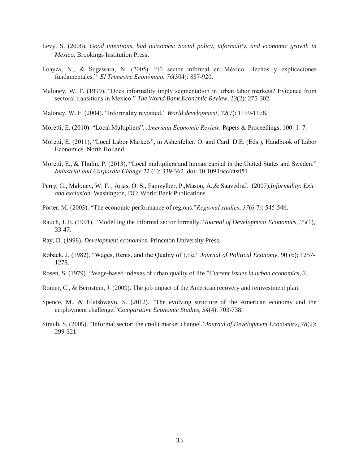- Levy, S. (2008). *Good intentions, bad outcomes: Social policy, informality, and economic growth in Mexico*. Brookings Institution Press.
- Loayza, N., & Sugawara, N. (2005). "El sector informal en México. Hechos y explicaciones fundamentales." *El Trimestre Económico*, *76*(304): 887-920.
- Maloney, W. F. (1999). "Does informality imply segmentation in urban labor markets? Evidence from sectoral transitions in Mexico." *The World Bank Economic Review*, *13*(2): 275-302.
- Maloney, W. F. (2004). "Informality revisited." *World development*, *32*(7): 1159-1178.
- Moretti, E. (2010). "Local Multipliers", *American Economic Review*: Papers & Proceedings, 100: 1–7.
- Moretti, E. (2011), "Local Labor Markets", in Ashenfelter, O. and Card. D.E. (Eds.), Handbook of Labor Economics. North Holland.
- Moretti, E., & Thulin, P. (2013). "Local multipliers and human capital in the United States and Sweden." *Industrial and Corporate Change,*22 (1): 339-362. doi: 10.1093/icc/dts051
- Perry, G., Maloney, W. F. , Arias, O. S., Fajnzylber, P.,Mason, A.,& SaavedraJ. (2007).*Informality: Exit and exclusion*. Washington, DC: World Bank Publications
- Porter, M. (2003). "The economic performance of regions."*Regional studies*, *37*(6-7): 545-546.
- Rauch, J. E. (1991). "Modelling the informal sector formally."*Journal of Development Economics*, *35*(1), 33-47.
- Ray, D. (1998). *Development economics*. Princeton University Press.
- Roback, J. (1982). "Wages, Rents, and the Quality of Life." *Journal of Political Economy*, 90 (6): 1257- 1278.
- Rosen, S. (1979). "Wage-based indexes of urban quality of life."*Current issues in urban economics*, *3*.
- Romer, C., & Bernstein, J. (2009). The job impact of the American recovery and reinvestment plan.
- Spence, M., & Hlatshwayo, S. (2012). "The evolving structure of the American economy and the employment challenge."*Comparative Economic Studies*, *54*(4): 703-738.
- Straub, S. (2005). "Informal sector: the credit market channel."*Journal of Development Economics*, *78*(2): 299-321.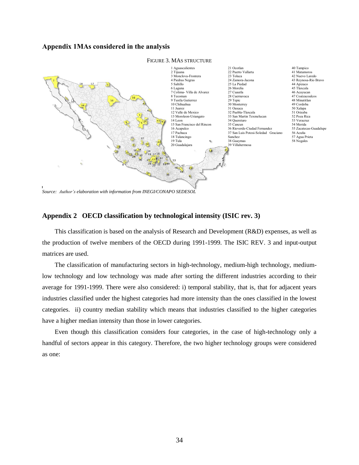## **Appendix 1MAs considered in the analysis**



*Source: Author's elaboration with information from INEGI/CONAPO SEDESOL*

## **Appendix 2 OECD classification by technological intensity (ISIC rev. 3)**

This classification is based on the analysis of Research and Development (R&D) expenses, as well as the production of twelve members of the OECD during 1991-1999. The ISIC REV. 3 and input-output matrices are used.

The classification of manufacturing sectors in high-technology, medium-high technology, mediumlow technology and low technology was made after sorting the different industries according to their average for 1991-1999. There were also considered: i) temporal stability, that is, that for adjacent years industries classified under the highest categories had more intensity than the ones classified in the lowest categories. ii) country median stability which means that industries classified to the higher categories have a higher median intensity than those in lower categories.

Even though this classification considers four categories, in the case of high-technology only a handful of sectors appear in this category. Therefore, the two higher technology groups were considered as one: